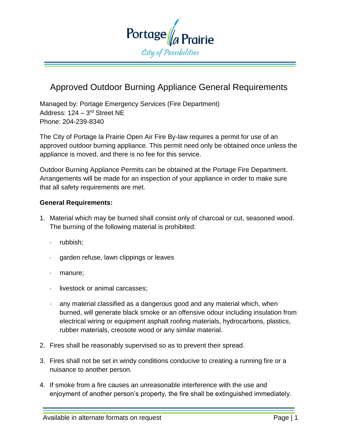

# Approved Outdoor Burning Appliance General Requirements

Managed by: Portage Emergency Services (Fire Department) Address: 124 – 3<sup>rd</sup> Street NE Phone: 204-239-8340

The City of Portage la Prairie Open Air Fire By-law requires a permit for use of an approved outdoor burning appliance. This permit need only be obtained once unless the appliance is moved, and there is no fee for this service.

Outdoor Burning Appliance Permits can be obtained at the Portage Fire Department. Arrangements will be made for an inspection of your appliance in order to make sure that all safety requirements are met.

#### **General Requirements:**

- 1. Material which may be burned shall consist only of charcoal or cut, seasoned wood. The burning of the following material is prohibited:
	- rubbish;
	- garden refuse, lawn clippings or leaves
	- · manure;
	- · livestock or animal carcasses;
	- · any material classified as a dangerous good and any material which, when burned, will generate black smoke or an offensive odour including insulation from electrical wiring or equipment asphalt roofing materials, hydrocarbons, plastics, rubber materials, creosote wood or any similar material.
- 2. Fires shall be reasonably supervised so as to prevent their spread.
- 3. Fires shall not be set in windy conditions conducive to creating a running fire or a nuisance to another person.
- 4. If smoke from a fire causes an unreasonable interference with the use and enjoyment of another person's property, the fire shall be extinguished immediately.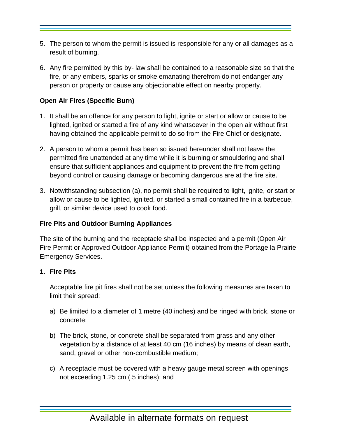- 5. The person to whom the permit is issued is responsible for any or all damages as a result of burning.
- 6. Any fire permitted by this by- law shall be contained to a reasonable size so that the fire, or any embers, sparks or smoke emanating therefrom do not endanger any person or property or cause any objectionable effect on nearby property.

## **Open Air Fires (Specific Burn)**

- 1. It shall be an offence for any person to light, ignite or start or allow or cause to be lighted, ignited or started a fire of any kind whatsoever in the open air without first having obtained the applicable permit to do so from the Fire Chief or designate.
- 2. A person to whom a permit has been so issued hereunder shall not leave the permitted fire unattended at any time while it is burning or smouldering and shall ensure that sufficient appliances and equipment to prevent the fire from getting beyond control or causing damage or becoming dangerous are at the fire site.
- 3. Notwithstanding subsection (a), no permit shall be required to light, ignite, or start or allow or cause to be lighted, ignited, or started a small contained fire in a barbecue, grill, or similar device used to cook food.

### **Fire Pits and Outdoor Burning Appliances**

The site of the burning and the receptacle shall be inspected and a permit (Open Air Fire Permit or Approved Outdoor Appliance Permit) obtained from the Portage la Prairie Emergency Services.

### **1. Fire Pits**

Acceptable fire pit fires shall not be set unless the following measures are taken to limit their spread:

- a) Be limited to a diameter of 1 metre (40 inches) and be ringed with brick, stone or concrete;
- b) The brick, stone, or concrete shall be separated from grass and any other vegetation by a distance of at least 40 cm (16 inches) by means of clean earth, sand, gravel or other non-combustible medium;
- c) A receptacle must be covered with a heavy gauge metal screen with openings not exceeding 1.25 cm (.5 inches); and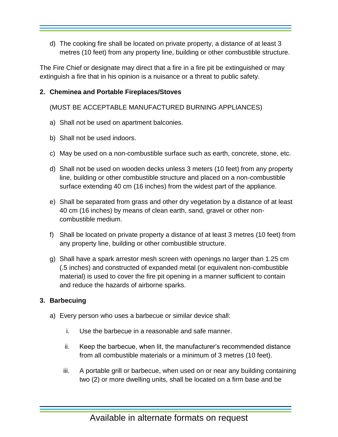d) The cooking fire shall be located on private property, a distance of at least 3 metres (10 feet) from any property line, building or other combustible structure.

The Fire Chief or designate may direct that a fire in a fire pit be extinguished or may extinguish a fire that in his opinion is a nuisance or a threat to public safety.

#### **2. Cheminea and Portable Fireplaces/Stoves**

(MUST BE ACCEPTABLE MANUFACTURED BURNING APPLIANCES)

- a) Shall not be used on apartment balconies.
- b) Shall not be used indoors.
- c) May be used on a non-combustible surface such as earth, concrete, stone, etc.
- d) Shall not be used on wooden decks unless 3 meters (10 feet) from any property line, building or other combustible structure and placed on a non-combustible surface extending 40 cm (16 inches) from the widest part of the appliance.
- e) Shall be separated from grass and other dry vegetation by a distance of at least 40 cm (16 inches) by means of clean earth, sand, gravel or other noncombustible medium.
- f) Shall be located on private property a distance of at least 3 metres (10 feet) from any property line, building or other combustible structure.
- g) Shall have a spark arrestor mesh screen with openings no larger than 1.25 cm (.5 inches) and constructed of expanded metal (or equivalent non-combustible material) is used to cover the fire pit opening in a manner sufficient to contain and reduce the hazards of airborne sparks.

### **3. Barbecuing**

- a) Every person who uses a barbecue or similar device shall:
	- i. Use the barbecue in a reasonable and safe manner.
	- ii. Keep the barbecue, when lit, the manufacturer's recommended distance from all combustible materials or a minimum of 3 metres (10 feet).
	- iii. A portable grill or barbecue, when used on or near any building containing two (2) or more dwelling units, shall be located on a firm base and be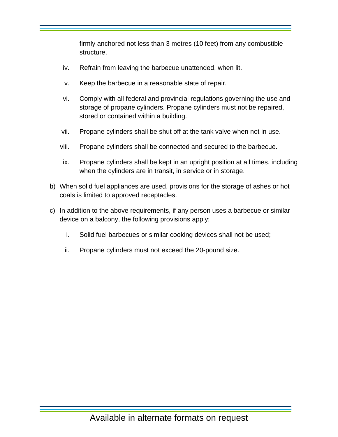firmly anchored not less than 3 metres (10 feet) from any combustible structure.

- iv. Refrain from leaving the barbecue unattended, when lit.
- v. Keep the barbecue in a reasonable state of repair.
- vi. Comply with all federal and provincial regulations governing the use and storage of propane cylinders. Propane cylinders must not be repaired, stored or contained within a building.
- vii. Propane cylinders shall be shut off at the tank valve when not in use.
- viii. Propane cylinders shall be connected and secured to the barbecue.
- ix. Propane cylinders shall be kept in an upright position at all times, including when the cylinders are in transit, in service or in storage.
- b) When solid fuel appliances are used, provisions for the storage of ashes or hot coals is limited to approved receptacles.
- c) In addition to the above requirements, if any person uses a barbecue or similar device on a balcony, the following provisions apply:
	- i. Solid fuel barbecues or similar cooking devices shall not be used;
	- ii. Propane cylinders must not exceed the 20-pound size.